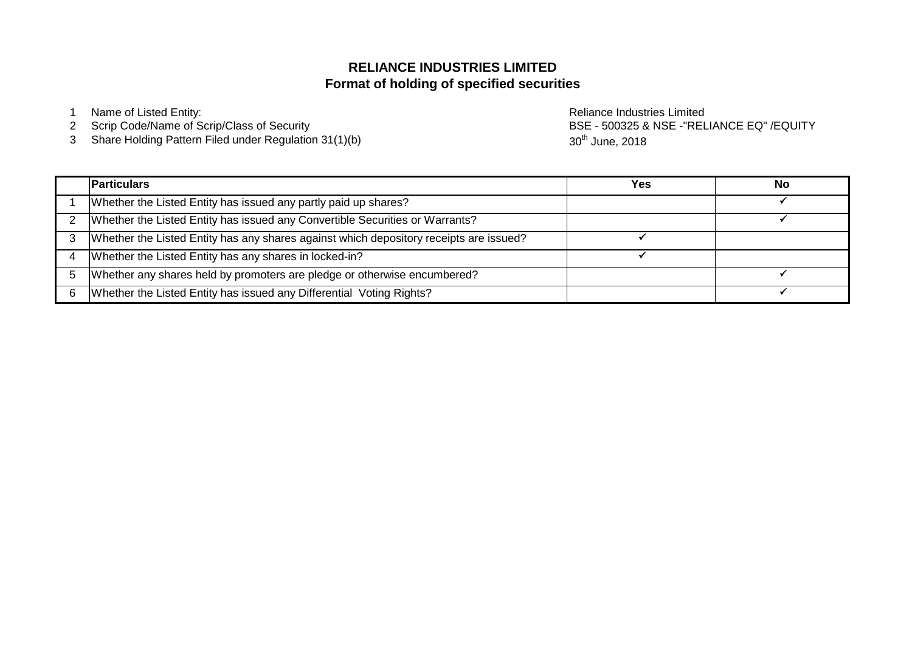# **Format of holding of specified securities RELIANCE INDUSTRIES LIMITED**

1 Name of Listed Entity: **Name of Listed Entity:** And The Contract of Listed Entity: **Reliance Industries Limited** 

- 2 Scrip Code/Name of Scrip/Class of Security
- 3 Share Holding Pattern Filed under Regulation 31(1)(b)

BSE - 500325 & NSE -"RELIANCE EQ" /EQUITY 30<sup>th</sup> June, 2018

| <b>Particulars</b>                                                                     | Yes | No |
|----------------------------------------------------------------------------------------|-----|----|
| Whether the Listed Entity has issued any partly paid up shares?                        |     |    |
| Whether the Listed Entity has issued any Convertible Securities or Warrants?           |     |    |
| Whether the Listed Entity has any shares against which depository receipts are issued? |     |    |
| Whether the Listed Entity has any shares in locked-in?                                 |     |    |
| Whether any shares held by promoters are pledge or otherwise encumbered?               |     |    |
| Whether the Listed Entity has issued any Differential Voting Rights?                   |     |    |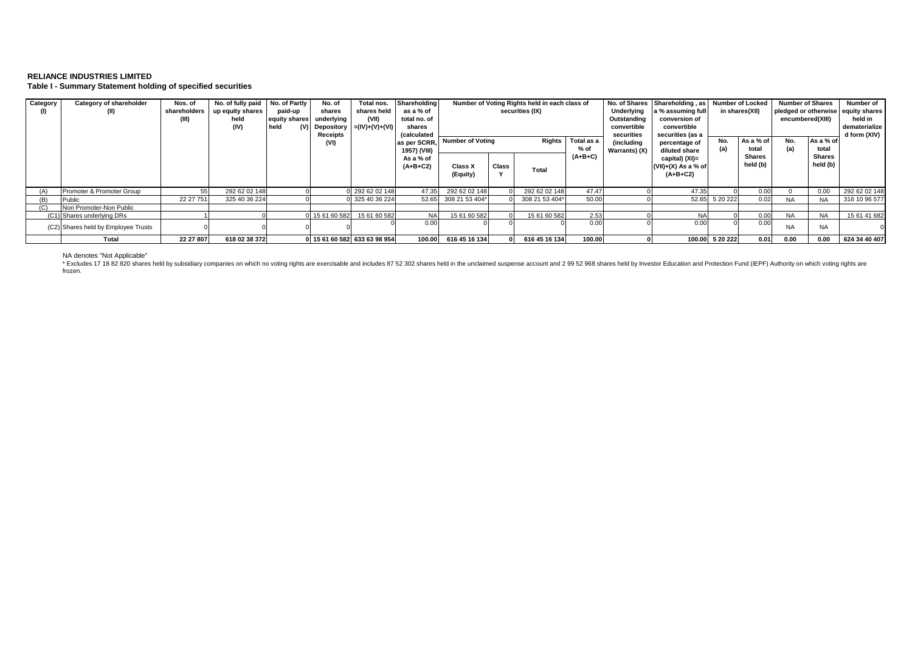## **RELIANCE INDUSTRIES LIMITED Table I - Summary Statement holding of specified securities**

| Category | Category of shareholder<br>(II)     | Nos. of<br>shareholders | No. of fully paid<br>up equity shares<br>held<br>(IV) | No. of Partly<br>paid-up<br>equity shares<br>held<br>(V) | No. of<br>shares<br>underlying<br>Receipts | Total nos.<br>shares held<br>(VII)<br>Depository $= (IV)+(V)+(VI)$ | Shareholding<br>as a % of<br>total no. of<br>shares<br>(calculated |                            |                                   | Number of Voting Rights held in each class of<br>securities (IX) |                      | Underlying<br>Outstanding<br>convertible<br>securities | a % assuming full<br>conversion of<br>convertible<br>securities (as a | No. of Shares   Shareholding, as   Number of Locked<br>in shares(XII) |                    | <b>Number of Shares</b><br>pledged or otherwise equity shares<br>encumbered(XIII) |                    | Number of<br>held in<br>dematerialize<br>d form (XIV) |
|----------|-------------------------------------|-------------------------|-------------------------------------------------------|----------------------------------------------------------|--------------------------------------------|--------------------------------------------------------------------|--------------------------------------------------------------------|----------------------------|-----------------------------------|------------------------------------------------------------------|----------------------|--------------------------------------------------------|-----------------------------------------------------------------------|-----------------------------------------------------------------------|--------------------|-----------------------------------------------------------------------------------|--------------------|-------------------------------------------------------|
|          |                                     |                         |                                                       |                                                          | (VI)                                       |                                                                    | as per SCRR.<br>1957) (VIII)                                       |                            | <b>Number of Voting</b><br>Rights |                                                                  | Total as a<br>$%$ of | (including<br>Warrants) (X)                            | percentage of<br>diluted share                                        | No.<br>(a)                                                            | As a % of<br>total | No.<br>(a)                                                                        | As a % of<br>total |                                                       |
|          |                                     |                         |                                                       |                                                          |                                            |                                                                    | As a % of<br>$(A+B+C2)$                                            | <b>Class X</b><br>(Equity) | Class                             | Total                                                            | $(A+B+C)$            |                                                        | capital) (XI)=<br>$(VII)+(X)$ As a % of<br>$(A+B+C2)$                 |                                                                       | Shares<br>held (b) |                                                                                   | Shares<br>held (b) |                                                       |
|          | Promoter & Promoter Group           | 55                      | 292 62 02 148                                         |                                                          |                                            | 0 292 62 02 148                                                    | 47.35                                                              | 292 62 02 148              |                                   | 292 62 02 148                                                    | 47.47                |                                                        | 47.35                                                                 |                                                                       | 0.00               |                                                                                   | 0.00               | 292 62 02 148                                         |
| (B)      | Public                              | 22 27 751               | 325 40 36 224                                         |                                                          |                                            | 0 325 40 36 224                                                    | 52.65                                                              | 308 21 53 404*             |                                   | 308 21 53 404*                                                   | 50.00                |                                                        | 52.65                                                                 | 5 20 222                                                              | 0.02               | <b>NA</b>                                                                         | <b>NA</b>          | 316 10 96 577                                         |
| (C)      | Non Promoter-Non Public             |                         |                                                       |                                                          |                                            |                                                                    |                                                                    |                            |                                   |                                                                  |                      |                                                        |                                                                       |                                                                       |                    |                                                                                   |                    |                                                       |
|          | (C1) Shares underlying DRs          |                         |                                                       |                                                          | 0 15 61 60 582                             | 15 61 60 582                                                       | <b>NA</b>                                                          | 15 61 60 582               |                                   | 15 61 60 582                                                     | 2.53                 |                                                        |                                                                       |                                                                       | 0.00               | <b>NA</b>                                                                         | <b>NA</b>          | 15 61 41 682                                          |
|          | (C2) Shares held by Employee Trusts |                         |                                                       |                                                          |                                            |                                                                    | 0.00                                                               |                            |                                   |                                                                  | 0.00                 |                                                        | 0.00                                                                  |                                                                       | 0.00               | <b>NA</b>                                                                         | <b>NA</b>          |                                                       |
|          | Total                               | 22 27 807               | 618 02 38 372                                         |                                                          |                                            | 0 15 61 60 582 633 63 98 954                                       | 100.00                                                             | 616 45 16 134              |                                   | 616 45 16 134                                                    | 100.00               |                                                        |                                                                       | 100.00 5 20 222                                                       | 0.01               | 0.00                                                                              | 0.00               | 624 34 40 407                                         |

NA denotes "Not Applicable"<br>\* Excludes 17 18 82 820 shares held by subsidiary companies on which no voting rights are exercisable and includes 87 52 302 shares held in the unclaimed suspense account and 2 99 52 968 shares frozen.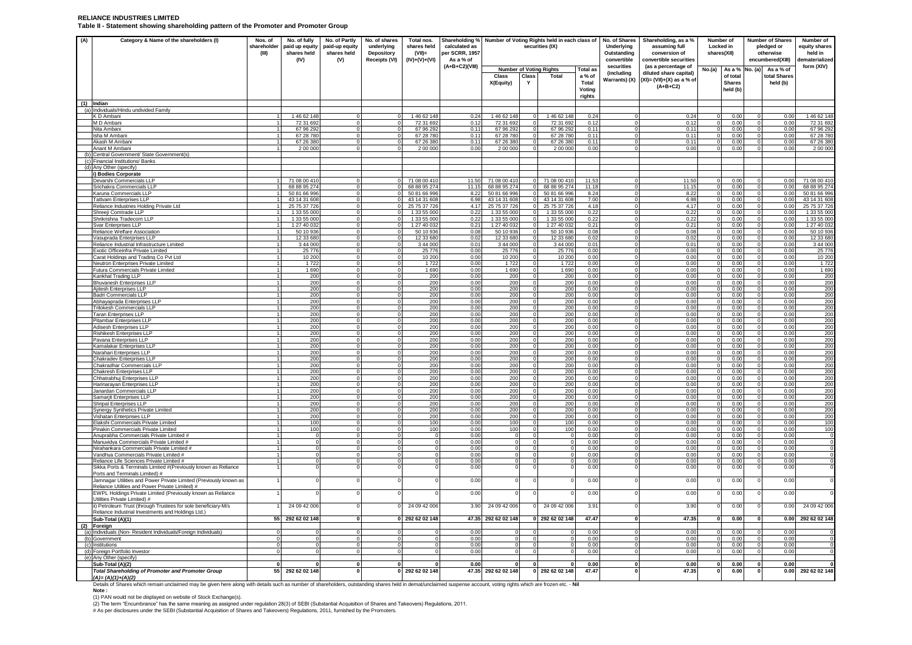#### **RELIANCE INDUSTRIES LIMITED Table II - Statement showing shareholding pattern of the Promoter and Promoter Group**

| (A) | Category & Name of the shareholders (I)                                                                              | Nos. of                  | No. of fully                 | No. of Partly            | No. of shares     | Total nos.                   |                | Shareholding % Number of Voting Rights held in each class of<br>securities (IX) |                                |                              |                 | No. of Shares                    | Shareholding, as a %                          | Number of                |                           | <b>Number of Shares</b> |                | Number of                    |
|-----|----------------------------------------------------------------------------------------------------------------------|--------------------------|------------------------------|--------------------------|-------------------|------------------------------|----------------|---------------------------------------------------------------------------------|--------------------------------|------------------------------|-----------------|----------------------------------|-----------------------------------------------|--------------------------|---------------------------|-------------------------|----------------|------------------------------|
|     |                                                                                                                      | shareholder              | paid up equity               | paid-up equity           | underlying        | shares held                  | calculated as  |                                                                                 |                                |                              |                 | Underlying                       | assuming full                                 | Locked in                |                           |                         | pledged or     | equity shares                |
|     |                                                                                                                      | (III)                    | shares held                  | shares held              | <b>Depository</b> | $(VII)$ =                    | per SCRR, 1957 |                                                                                 |                                |                              | Outstanding     | conversion of                    | shares(XII)                                   |                          |                           | otherwise               | held in        |                              |
|     |                                                                                                                      |                          | (IV)                         | (V)                      | Receipts (VI)     | $(IV)+(V)+(VI)$              | As a % of      |                                                                                 |                                |                              | convertible     | convertible securities           |                                               |                          |                           | encumbered(XIII)        | dematerialized |                              |
|     |                                                                                                                      |                          |                              |                          |                   |                              | (A+B+C2)(VIII) |                                                                                 | <b>Number of Voting Rights</b> |                              | <b>Total as</b> | securities<br>(including         | (as a percentage of<br>diluted share capital) | No.(a)                   | As a % No. (a)            |                         | As a % of      | form (XIV)                   |
|     |                                                                                                                      |                          |                              |                          |                   |                              |                | <b>Class</b>                                                                    | Class                          | Total                        | a % of          | Warrants) (X)                    | $(XI) = (VII)+(X)$ as a % of                  |                          | of total                  |                         | total Shares   |                              |
|     |                                                                                                                      |                          |                              |                          |                   |                              |                | X(Equity)                                                                       | Y                              |                              | Total<br>Voting |                                  | $(A+B+C2)$                                    |                          | <b>Shares</b><br>held (b) |                         | held (b)       |                              |
|     |                                                                                                                      |                          |                              |                          |                   |                              |                |                                                                                 |                                |                              | rights          |                                  |                                               |                          |                           |                         |                |                              |
|     | $(1)$ Indian                                                                                                         |                          |                              |                          |                   |                              |                |                                                                                 |                                |                              |                 |                                  |                                               |                          |                           |                         |                |                              |
|     | (a) Individuals/Hindu undivided Family                                                                               |                          |                              |                          |                   |                              |                |                                                                                 |                                |                              |                 |                                  |                                               |                          |                           |                         |                |                              |
|     | K D Ambani                                                                                                           |                          | 14662148                     | $\Omega$                 |                   | 1 46 62 148                  | 0.24           | 1 46 62 148                                                                     |                                | 146 62 148                   | 0.24            |                                  | 0.24                                          |                          | 0.00                      |                         | 0.00           | 1 46 62 148                  |
|     | M D Ambani<br>Nita Ambani                                                                                            |                          | 72 31 692<br>67 96 292       | $^{\circ}$<br>0          |                   | 72 31 692<br>67 96 292       | 0.12<br>0.11   | 72 31 692<br>67 96 292                                                          |                                | 72 31 692<br>67 96 292       | 0.12<br>0.11    | $^{\circ}$<br>- 0                | 0.12<br>$0.1^{\circ}$                         |                          | 0.00<br>0.00              |                         | 0.00<br>0.00   | 72 31 692<br>67 96 29        |
|     | Isha M Amban                                                                                                         |                          | 67 28 780                    | $\Omega$                 |                   | 67 28 780                    | 0.11           | 67 28 780                                                                       |                                | 67 28 780                    | 0.11            | $\overline{0}$                   | 0.11                                          |                          | 0.00                      |                         | 0.00           | 67 28 78                     |
|     | Akash M Ambani                                                                                                       |                          | 67 26 380                    | $\Omega$                 |                   | 67 26 380                    | 0.11           | 67 26 380                                                                       | $\Omega$                       | 67 26 380                    | 0.11            | $^{\circ}$                       | 0.11                                          |                          | 0.00                      |                         | 0.00           | 67 26 380                    |
|     | Anant M Ambani                                                                                                       |                          | 200 000                      | $\Omega$                 |                   | 2 00 000                     | 0.00           | 2 00 000                                                                        |                                | 2 00 000                     | 0.00            |                                  | 0.00                                          |                          | 0.00                      |                         | 0.00           | 2 00 000                     |
|     | (b) Central Government/ State Government(s)                                                                          |                          |                              |                          |                   |                              |                |                                                                                 |                                |                              |                 |                                  |                                               |                          |                           |                         |                |                              |
|     | (c) Financial Institutions/ Banks<br>(d) Any Other (specify)                                                         |                          |                              |                          |                   |                              |                |                                                                                 |                                |                              |                 |                                  |                                               |                          |                           |                         |                |                              |
|     | i) Bodies Corporate                                                                                                  |                          |                              |                          |                   |                              |                |                                                                                 |                                |                              |                 |                                  |                                               |                          |                           |                         |                |                              |
|     | Devarshi Commercials LLP                                                                                             | 11                       | 71 08 00 410                 | $\Omega$                 |                   | 71 08 00 410                 | 11.50          | 71 08 00 410                                                                    | $\Omega$                       | 71 08 00 410                 | 11.53           | $\Omega$                         | 11.50                                         | $\mathbf{O}$             | 0.00                      | $\Omega$                | 0.00           | 71 08 00 410                 |
|     | Srichakra Commercials LLP                                                                                            | 1<br>11                  | 68 88 95 274                 | $^{\circ}$               |                   | 68 88 95 274                 | 11.15          | 68 88 95 274                                                                    |                                | 68 88 95 274                 | 11.18           | $^{\circ}$                       | 11.15                                         | $\mathbf 0$              | 0.00                      | $\mathbf 0$             | 0.00           | 68 88 95 27                  |
|     | Karuna Commercials LLP<br><b>Tattvam Enterprises LLP</b>                                                             | 1                        | 50 81 66 996<br>43 14 31 608 | $\Omega$<br>$\circ$      |                   | 50 81 66 996<br>43 14 31 608 | 8.22<br>6.98   | 50 81 66 996<br>43 14 31 608                                                    | $\Omega$                       | 50 81 66 996<br>43 14 31 608 | 8.24<br>7.00    | $\Omega$<br>$\Omega$             | 8.22<br>6.98                                  | $\Omega$<br>$\Omega$     | 0.00<br>0.00              | $\Omega$<br>$\Omega$    | 0.00<br>0.00   | 50 81 66 996<br>43 14 31 608 |
|     | Reliance Industries Holding Private Ltd                                                                              | -1                       | 25 75 37 726                 | $\overline{0}$           |                   | 25 75 37 726                 | 4.17           | 25 75 37 726                                                                    | $\Omega$                       | 25 75 37 726                 | 4.18            | $\Omega$                         | 4.17                                          | $^{\circ}$               | 0.00                      | $\Omega$                | 0.00           | 25 75 37 72                  |
|     | Shreeji Comtrade LLP                                                                                                 |                          | 1 33 55 000                  | $^{\circ}$               |                   | 1 33 55 000                  | 0.22           | 1 33 55 000                                                                     | $^{\circ}$                     | 1 33 55 000                  | 0.22            | $\overline{0}$                   | 0.22                                          | $\mathbf 0$              | 0.00                      | $\mathbf 0$             | 0.00           | 1 33 55 00                   |
|     | Shrikrishna Tradecom LLP                                                                                             | 1                        | 1 33 55 000                  | $\Omega$                 |                   | 1 33 55 000                  | 0.22           | 1 33 55 000                                                                     | $\Omega$                       | 1 33 55 000                  | 0.22            | $\Omega$                         | 0.22                                          | $\Omega$                 | 0.00                      | $\Omega$                | 0.00           | 1 33 55 00                   |
|     | Svar Enterprises LLP                                                                                                 |                          | 1 27 40 032<br>50 10 936     | $\mathbf{0}$             |                   | 1 27 40 032<br>50 10 936     | 0.21<br>0.08   | 1 27 40 032<br>50 10 936                                                        | $\mathbf 0$                    | 1 27 40 032<br>50 10 936     | 0.21            | $^{\circ}$                       | 0.21<br>0.08                                  | $\Omega$                 | 0.00<br>0.00              |                         | 0.00<br>0.00   | 1 27 40 03<br>50 10 93       |
|     | Reliance Welfare Association<br>Vasuprada Enterprises LLP                                                            |                          | 12 33 680                    | $\circ$<br>$\Omega$      |                   | 12 33 680                    | 0.02           | 12 33 680                                                                       | $\Omega$                       | 12 33 680                    | 0.08<br>0.02    | $^{\circ}$<br>$\Omega$           | 0.02                                          | $\Omega$                 | 0.00                      | $\Omega$                | 0.00           | 12 33 68                     |
|     | Reliance Industrial Infrastructure Limited                                                                           | $\overline{1}$           | 3 44 000                     | $\Omega$                 |                   | 3 44 000                     | 0.01           | 344 000                                                                         | $\Omega$                       | 3 44 000                     | 0.01            | $\mathbf{0}$                     | 0.01                                          | $\Omega$                 | 0.00                      |                         | 0.00           | 3 44 000                     |
|     | Exotic Officeinfra Private Limited                                                                                   | $\overline{1}$           | 25 776                       | $\mathbf{0}$             |                   | 25 776                       | 0.00           | 25 776                                                                          |                                | 25776                        | 0.00            | $^{\circ}$                       | 0.00                                          |                          | 0.00                      |                         | 0.00           | 25 77                        |
|     | Carat Holdings and Trading Co Pvt Ltd                                                                                |                          | 10 200                       | 0                        |                   | 10 200                       | 0.00           | 10 200                                                                          |                                | 10 200                       | 0.00            | $^{\circ}$                       | 0.00                                          |                          | 0.00                      |                         | 0.00           | 10 200                       |
|     | Neutron Enterprises Private Limited<br>Futura Commercials Private Limited                                            | 11                       | 1722<br>1690                 | $\mathbf 0$<br>$\Omega$  |                   | 1722<br>1 6 9 0              | 0.00<br>0.00   | 1722<br>1 6 9 0                                                                 | $\Omega$                       | 1722<br>1690                 | 0.00<br>0.00    | $\overline{0}$<br>$\Omega$       | 0.00<br>0.00                                  | $\Omega$                 | 0.00<br>0.00              | $\Omega$                | 0.00<br>0.00   | 172<br>1690                  |
|     | Kankhal Trading LLP                                                                                                  |                          | 200                          | $\mathbf 0$              |                   | 200                          | 0.00           | 200                                                                             |                                | 200                          | 0.00            | $^{\circ}$                       | 0.00                                          |                          | 0.00                      |                         | 0.00           | 200                          |
|     | Bhuvanesh Enterprises LLP                                                                                            | 1                        | 200                          | $\Omega$                 |                   | 200                          | 0.00           | 200                                                                             | $\Omega$                       | 200                          | 0.00            | $\mathbf 0$                      | 0.00                                          | $\Omega$                 | 0.00                      | $\Omega$                | 0.00           | 200                          |
|     | Ajitesh Enterprises LLP                                                                                              | 1                        | 200                          | $\mathbf 0$              |                   | 200                          | 0.00           | 200                                                                             | $\mathbf 0$                    | 200                          | 0.00            | $\overline{0}$                   | 0.00                                          | $\mathbf 0$              | 0.00                      | $\mathbf 0$             | 0.00           | 200                          |
|     | <b>Badri Commercials LLP</b><br>Abhayaprada Enterprises LLP                                                          | 1<br>$\mathbf{1}$        | 200<br>200                   | $\circ$<br>$\mathbf{0}$  | $\Omega$          | 200<br>200                   | 0.00<br>0.00   | 200<br>200                                                                      | $\Omega$<br>$\mathbf 0$        | 200<br>200                   | 0.00<br>0.00    | $\overline{0}$<br>$\overline{0}$ | 0.00<br>0.00                                  | $\circ$<br>$\mathbf 0$   | 0.00<br>0.00              | $\Omega$<br>0           | 0.00<br>0.00   | 200<br>200                   |
|     | <b>Trilokesh Commercials LLP</b>                                                                                     | $\mathbf{1}$             | 200                          | $\Omega$                 |                   | 200                          | 0.00           | 200                                                                             | $\Omega$                       | 200                          | 0.00            | $\Omega$                         | 0.00                                          | $\overline{0}$           | 0.00                      | $\Omega$                | 0.00           | 200                          |
|     | <b>Taran Enterprises LLP</b>                                                                                         | 1                        | 200                          | $\circ$                  |                   | 200                          | 0.00           | 200                                                                             |                                | 200                          | 0.00            | $\overline{0}$                   | 0.00                                          | $\mathbf 0$              | 0.00                      | $\mathbf 0$             | 0.00           | 200                          |
|     | Pitambar Enterprises LLP                                                                                             | 1<br>11                  | 200<br>200                   | $\circ$<br>$\mathbf{0}$  |                   | 200<br>200                   | 0.00<br>0.00   | 200<br>200                                                                      | $\Omega$<br>$\mathbf 0$        | 200                          | 0.00<br>0.00    | $^{\circ}$<br>$\overline{0}$     | 0.00<br>0.00                                  | $\Omega$<br>$\mathbf{0}$ | 0.00<br>0.00              | $\Omega$<br>$\Omega$    | 0.00<br>0.00   | 200                          |
|     | Adisesh Enterprises LLP<br>Rishikesh Enterprises LLP                                                                 |                          | 200                          | $^{\circ}$               |                   | 200                          | 0.00           | 200                                                                             | $\Omega$                       | 200<br>200                   | 0.00            | $\Omega$                         | 0.00                                          | 0                        | 0.00                      | $\Omega$                | 0.00           | 200<br>200                   |
|     | Pavana Enterprises LLP                                                                                               |                          | 200                          | $^{\circ}$               |                   | 200                          | 0.00           | 200                                                                             | $^{\circ}$                     | 200                          | 0.00            | $\overline{0}$                   | 0.00                                          | $\mathbf 0$              | 0.00                      | $^{\circ}$              | 0.00           | 200                          |
|     | Kamalakar Enterprises LLP                                                                                            | $\overline{1}$           | 200                          | $\Omega$                 |                   | 200                          | 0.00           | 200                                                                             | $\Omega$                       | 200                          | 0.00            | $\Omega$                         | 0.00                                          | $\Omega$                 | 0.00                      | $\Omega$                | 0.00           | 200                          |
|     | Narahari Enterprises LLP<br>Chakradev Enterprises LLP                                                                |                          | 200<br>200                   | $^{\circ}$<br>$^{\circ}$ |                   | 200<br>200                   | 0.00<br>0.00   | 200<br>200                                                                      | $\Omega$                       | 200<br>200                   | 0.00<br>0.00    | $^{\circ}$<br>$\Omega$           | 0.00<br>0.00                                  | $\Omega$                 | 0.00<br>0.00              |                         | 0.00<br>0.00   | 200<br>200                   |
|     | Chakradhar Commercials LLP                                                                                           |                          | 200                          | $\mathbf 0$              |                   | 200                          | 0.00           | 200                                                                             |                                | 200                          | 0.00            | $\overline{0}$                   | 0.00                                          | $\mathbf 0$              | 0.00                      |                         | 0.00           | 200                          |
|     | Chakresh Enterprises LLP                                                                                             | 1                        | 200                          | $\Omega$                 |                   | 200                          | 0.00           | 200                                                                             | $\Omega$                       | 200                          | 0.00            | $\Omega$                         | 0.00                                          | $\Omega$                 | 0.00                      | $\Omega$                | 0.00           | 200                          |
|     | Chhatrabhuj Enterprises LLP                                                                                          | 1                        | 200                          | $\mathbf{0}$             |                   | 200                          | 0.00           | 200                                                                             |                                | 200                          | 0.00            | $^{\circ}$                       | 0.00                                          |                          | 0.00                      |                         | 0.00           | 200                          |
|     | Harinarayan Enterprises LLP<br>Janardan Commercials LLP                                                              |                          | 200<br>200                   | $\Omega$<br>$\mathbf 0$  |                   | 200<br>200                   | 0.00<br>0.00   | 200<br>200                                                                      | $\mathbf 0$                    | 200<br>200                   | 0.00<br>0.00    | $\Omega$<br>$\overline{0}$       | 0.00<br>0.00                                  | $\Omega$                 | 0.00<br>0.00              | $\Omega$                | 0.00<br>0.00   | 200<br>200                   |
|     | Samarjit Enterprises LLP                                                                                             |                          | 200                          | $\Omega$                 |                   | 200                          | 0.00           | 200                                                                             | $\Omega$                       | 200                          | 0.00            | $\Omega$                         | 0.00                                          | $\Omega$                 | 0.00                      |                         | 0.00           | 200                          |
|     | Shripal Enterprises LLP                                                                                              |                          | 200                          | $^{\circ}$               |                   | 200                          | 0.00           | 200                                                                             |                                | 200                          | 0.00            | $^{\circ}$                       | 0.00                                          |                          | 0.00                      |                         | 0.00           | 200                          |
|     | Synergy Synthetics Private Limited                                                                                   |                          | 200                          | $\Omega$                 |                   | 200                          | 0.00           | 200                                                                             |                                | 200                          | 0.00            | - 0                              | 0.00                                          |                          | 0.00                      |                         | 0.00           | 200                          |
|     | Vishatan Enterprises LLP<br>Elakshi Commercials Private Limited                                                      |                          | 200<br>100                   | $\circ$<br>$\Omega$      |                   | 200<br>100                   | 0.00<br>0.00   | 200<br>100                                                                      |                                | 200<br>100                   | 0.00<br>0.00    | $\overline{0}$<br>$\Omega$       | 0.00<br>0.00                                  | $\Omega$                 | 0.00<br>0.00              |                         | 0.00<br>0.00   | 200<br>100                   |
|     | Pinakin Commercials Private Limited                                                                                  |                          | 100                          | $\mathbf 0$              |                   | 100                          | 0.00           | 100                                                                             |                                | 100                          | 0.00            |                                  | 0.00                                          |                          | 0.00                      |                         | 0.00           | 100                          |
|     | Anuprabha Commercials Private Limited #                                                                              |                          | $\Omega$                     | $\Omega$                 |                   | $^{\circ}$                   | 0.00           | $\Omega$                                                                        |                                |                              | 0.00            | $\Omega$                         | 0.00                                          |                          | 0.00                      |                         | 0.00           |                              |
|     | Manuvidya Commercials Private Limited #                                                                              |                          |                              | $\Omega$                 |                   | $\mathbf 0$                  | 0.00           | $\Omega$                                                                        |                                |                              | 0.00            | $\overline{0}$                   | 0.00                                          |                          | 0.00                      |                         | 0.00           |                              |
|     | Nirahankara Commercials Private Limited #<br>Vandhya Commercials Private Limited #                                   | $\overline{1}$<br>1      | $\Omega$<br>$\Omega$         | $\Omega$<br>$\circ$      |                   | $\circ$<br>$\circ$           | 0.00<br>0.00   | $\Omega$<br>$\circ$                                                             | $\Omega$<br>$^{\circ}$         | $\Omega$<br>$\mathbf 0$      | 0.00<br>0.00    | $^{\circ}$<br>$\overline{0}$     | 0.00<br>0.00                                  | $\Omega$<br>$\circ$      | 0.00<br>0.00              | $\Omega$<br>$\mathbf 0$ | 0.00<br>0.00   |                              |
|     | Reliance Life Sciences Private Limited #                                                                             |                          | $\Omega$                     | $^{\circ}$               |                   | $\circ$                      | 0.00           | $\overline{0}$                                                                  | $\Omega$                       | $\Omega$                     | 0.00            | $\Omega$                         | 0.00                                          | $\mathbf 0$              | 0.00                      | $\Omega$                | 0.00           |                              |
|     | Sikka Ports & Terminals Limited #(Previously known as Reliance                                                       |                          |                              |                          |                   |                              | 0.00           |                                                                                 |                                |                              | 0.00            |                                  | 0.00                                          |                          | 0.00                      |                         | 0.00           |                              |
|     | Ports and Terminals Limited) #                                                                                       |                          |                              | $\Omega$                 |                   |                              |                |                                                                                 |                                |                              |                 | $\Omega$                         |                                               |                          |                           | $\Omega$                |                |                              |
|     | Jamnagar Utilities and Power Private Limited (Previously known as<br>Reliance Utilities and Power Private Limited) # |                          |                              |                          |                   | 0                            | 0.00           | $\mathbf{0}$                                                                    |                                |                              | 0.00            |                                  | 0.00                                          |                          | 0.00                      |                         | 0.00           |                              |
|     | EWPL Holdings Private Limited (Previously known as Reliance                                                          |                          |                              | $\mathbf 0$              |                   |                              | 0.00           |                                                                                 |                                |                              | 0.00            |                                  | 0.00                                          |                          | 0.00                      |                         | 0.00           |                              |
|     | Jtilities Private Limited) #                                                                                         |                          |                              |                          |                   |                              |                |                                                                                 |                                |                              |                 |                                  |                                               |                          |                           |                         |                |                              |
|     | ii) Petroleum Trust (through Trustees for sole beneficiary-M/s<br>Reliance Industrial Investments and Holdings Ltd.) |                          | 24 09 42 006                 | $\Omega$                 |                   | 24 09 42 006                 | 3.90           | 24 09 42 006                                                                    |                                | 24 09 42 006                 | 3.91            |                                  | 3.90                                          |                          | 0.00                      |                         | 0.00           | 24 09 42 006                 |
|     | Sub-Total (A)(1)                                                                                                     |                          | 55 292 62 02 148             | $\mathbf 0$              |                   | 292 62 02 148                |                | 47.35 292 62 02 148                                                             |                                | 0 292 62 02 148              | 47.47           | $\mathbf 0$                      | 47.35                                         | $\mathbf 0$              | 0.00                      | $\mathbf 0$             | 0.00           | 292 62 02 148                |
|     | (2) Foreign                                                                                                          |                          |                              |                          |                   |                              |                |                                                                                 |                                |                              |                 |                                  |                                               |                          |                           |                         |                |                              |
|     | (a) Individuals (Non-Resident Individuals/Foreign Individuals)                                                       | $\Omega$<br>$\mathbf{0}$ | $\mathbf 0$                  | $\Omega$<br>$\mathbf{0}$ |                   | $\Omega$<br>$\mathbf{0}$     | 0.00           | $\Omega$<br>$\circ$                                                             |                                | $\Omega$<br>$\circ$          | 0.00            | $\Omega$<br>$^{\circ}$           | 0.00                                          | $\Omega$<br>$\mathbf 0$  | 0.00                      | $\Omega$<br>0           | 0.00<br>0.00   |                              |
|     | (b) Government<br>(c) Institutions                                                                                   | $\Omega$                 | $\Omega$                     | $\Omega$                 |                   | $\circ$                      | 0.00<br>0.00   | $\Omega$                                                                        | $\Omega$                       | 0                            | 0.00<br>0.00    | $\Omega$                         | 0.00<br>0.00                                  | $\Omega$                 | 0.00<br>0.00              | $\mathbf 0$             | 0.00           |                              |
|     | (d) Foreign Portfolio Investor                                                                                       | $\Omega$                 | $\Omega$                     | $\Omega$                 |                   | $\Omega$                     | 0.00           | $\Omega$                                                                        | $\Omega$                       |                              | 0.00            | $\Omega$                         | 0.00                                          |                          | 0.00                      | $\Omega$                | 0.00           |                              |
|     | (e) Any Other (specify)                                                                                              |                          |                              |                          |                   |                              |                |                                                                                 |                                |                              |                 |                                  |                                               |                          |                           |                         |                |                              |
|     | Sub-Total (A)(2)<br><b>Total Shareholding of Promoter and Promoter Group</b>                                         | 55                       | 292 62 02 148                | 0                        |                   | 0<br>292 62 02 148           | 0.00           | 47.35 292 62 02 148                                                             | 0<br>$\mathbf{0}$              | 292 62 02 148                | 0.00<br>47.47   | 0                                | 0.00<br>47.35                                 |                          | 0.00<br>0.00              |                         | 0.00<br>0.00   | 292 62 02 148                |
|     | $(A)=(A)(1)+(A)(2)$                                                                                                  |                          |                              |                          |                   |                              |                |                                                                                 |                                |                              |                 |                                  |                                               |                          |                           |                         |                |                              |

Details of Shares which remain unclaimed may be given here along with details such as number of shareholders, outstanding shares held in demat/unclaimed suspense account, voting rights which are frozen etc. - **Nil**

**Note :** 

(1) PAN would not be displayed on website of Stock Exchange(s).<br>(2) The term "Encumbrance" has the same meaning as assigned under regulation 28(3) of SEBI (Substantial Acquisition of Shares and Takeovers) Regulations, 2011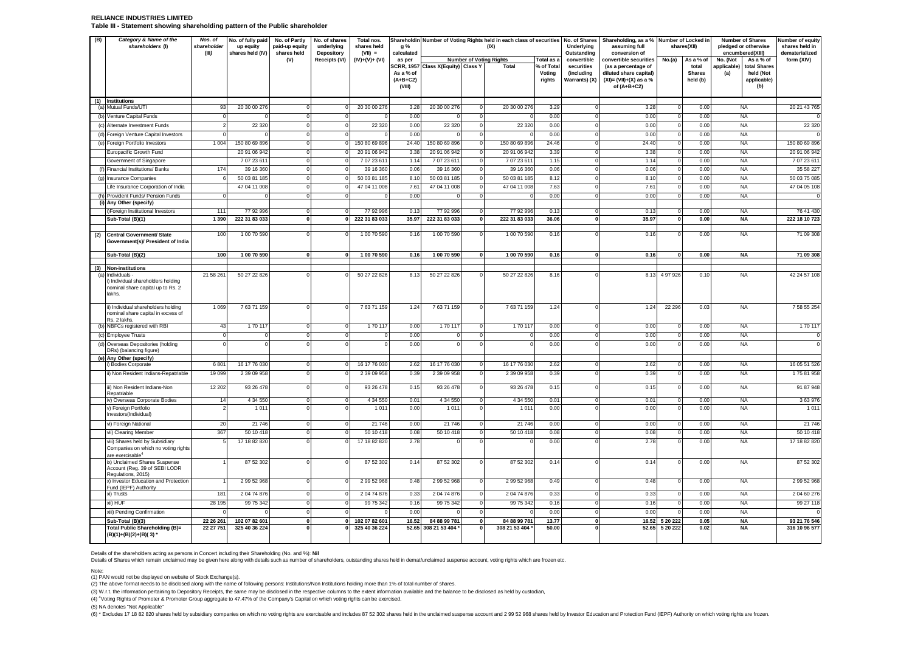#### **RELIANCE INDUSTRIES LIMITED Table III - Statement showing shareholding pattern of the Public shareholder**

| (B) | Category & Name of the<br>shareholders (I)                                | Nos. of<br>shareholder                   | No. of fully paid<br>No. of Partly<br>No. of shares<br>Total nos.<br>Shareholdin Number of Voting Rights held in each class of securities No. of Shares<br>up equity<br>paid-up equity<br>underlying<br>shares held<br>g %<br>(IX) |                                  |                                         |                                |              |                                     |                                                           |                      | Underlying                | Shareholding, as a % Number of Locked in<br>assuming full |                         | shares(XII)            | <b>Number of Shares</b><br>pledged or otherwise | Number of equity<br>shares held in |
|-----|---------------------------------------------------------------------------|------------------------------------------|------------------------------------------------------------------------------------------------------------------------------------------------------------------------------------------------------------------------------------|----------------------------------|-----------------------------------------|--------------------------------|--------------|-------------------------------------|-----------------------------------------------------------|----------------------|---------------------------|-----------------------------------------------------------|-------------------------|------------------------|-------------------------------------------------|------------------------------------|
|     |                                                                           | (III)<br>shares held (IV)<br>shares held |                                                                                                                                                                                                                                    | Depository                       | $(VII) =$                               | calculated                     |              |                                     |                                                           | Outstanding          | conversion of             |                                                           |                         | encumbered(XIII)       | dematerialized                                  |                                    |
|     |                                                                           |                                          |                                                                                                                                                                                                                                    | (V)                              | Receipts (VI)                           | $(IV)+(V)+(VI)$                | as per       | <b>Number of Voting Rights</b>      |                                                           | Total as a           | convertible               | convertible securities                                    | No.(a)                  | As a % of              | No. (Not<br>As a % of                           | form (XIV)                         |
|     |                                                                           |                                          |                                                                                                                                                                                                                                    |                                  |                                         |                                | As a % of    | SCRR, 1957 Class X(Equity) Class Y  | Total                                                     | % of Total<br>Voting | securities<br>(including  | (as a percentage of<br>diluted share capital)             |                         | total<br><b>Shares</b> | total Shares<br>applicable)<br>(a)<br>held (Not |                                    |
|     |                                                                           |                                          |                                                                                                                                                                                                                                    |                                  |                                         |                                | $(A+B+C2)$   |                                     |                                                           | rights               | Warrants) (X)             | $(XI) = (VII)+(X)$ as a %                                 |                         | held (b)               | applicable)                                     |                                    |
|     |                                                                           |                                          |                                                                                                                                                                                                                                    |                                  |                                         |                                | (VIII)       |                                     |                                                           |                      |                           | of $(A+B+C2)$                                             |                         |                        | (b)                                             |                                    |
|     | (1) Institutions                                                          |                                          |                                                                                                                                                                                                                                    |                                  |                                         |                                |              |                                     |                                                           |                      |                           |                                                           |                         |                        |                                                 |                                    |
|     | (a) Mutual Funds/UTI                                                      | 93                                       | 20 30 00 276                                                                                                                                                                                                                       | $\Omega$                         | $\Omega$                                | 20 30 00 276                   | 3.28         | 20 30 00 276                        | 20 30 00 276                                              | 3.29                 | $\mathbf 0$               | 3.28                                                      | $\mathbf 0$             | 0.00                   | <b>NA</b>                                       | 20 21 43 765                       |
|     | (b) Venture Capital Funds                                                 |                                          |                                                                                                                                                                                                                                    | $\Omega$                         | $\mathbf 0$                             | $\Omega$                       | 0.00         | $\Omega$                            | $\Omega$                                                  | 0.00                 | $\mathbf 0$               | 0.00                                                      | $\mathbf 0$             | 0.00                   | <b>NA</b>                                       |                                    |
|     | (c) Alternate Investment Funds                                            |                                          | 22 3 20                                                                                                                                                                                                                            | $\Omega$                         | $\Omega$                                | 22 3 20                        | 0.00         | 22 3 20                             | 22 3 20<br>$\Omega$                                       | 0.00                 | $\overline{0}$            | 0.00                                                      | $\mathbf 0$             | 0.00                   | <b>NA</b>                                       | 22 3 2 0                           |
|     | (d) Foreign Venture Capital Investors                                     |                                          |                                                                                                                                                                                                                                    | $\circ$                          | $\Omega$                                | $\Omega$                       | 0.00         | $\Omega$                            | $\Omega$<br>$\Omega$                                      | 0.00                 | $\overline{0}$            | 0.00                                                      | $\mathbf 0$             | 0.00                   | <b>NA</b>                                       |                                    |
|     | (e) Foreign Portfolio Investors                                           | 1 0 0 4                                  | 150 80 69 896                                                                                                                                                                                                                      | $\overline{0}$                   | $\circ$                                 | 150 80 69 896                  | 24.40        | 150 80 69 896                       | 150 80 69 896<br>$\Omega$                                 | 24.46                | $\mathbf 0$               | 24.40                                                     | $\circ$                 | 0.00                   | <b>NA</b>                                       | 150 80 69 896                      |
|     | Europacific Growth Fund                                                   |                                          | 20 91 06 942                                                                                                                                                                                                                       | $\mathbf 0$                      | $\Omega$                                | 20 91 06 942                   | 3.38         | 20 91 06 942                        | 20 91 06 942<br>$\Omega$                                  | 3.39                 | $\circ$                   | 3.38                                                      | $\circ$                 | 0.00                   | <b>NA</b>                                       | 20 91 06 942                       |
|     | Government of Singapore                                                   |                                          | 7 07 23 61                                                                                                                                                                                                                         | $\overline{0}$                   | $\Omega$                                | 70723611                       | 1.14         | 70723611                            | $\Omega$<br>7 07 23 611                                   | 1.15                 | $\Omega$                  | 1.14                                                      | $\overline{0}$          | 0.00                   | <b>NA</b>                                       | 7072361                            |
|     | (f) Financial Institutions/ Banks                                         | 174                                      | 39 16 360                                                                                                                                                                                                                          | $\overline{0}$<br>$\overline{0}$ | $\mathbf 0$<br>$\Omega$                 | 39 16 360                      | 0.06<br>8.10 | 39 16 360                           | 39 16 360<br>$^{\circ}$<br>$\Omega$                       | 0.06<br>8.12         | $\circ$<br>$\overline{0}$ | 0.06<br>8.10                                              | 0 <br>$\overline{0}$    | 0.00                   | <b>NA</b><br><b>NA</b>                          | 35 58 227                          |
|     | (g) Insurance Companies                                                   |                                          | 50 03 81 185<br>47 04 11 008                                                                                                                                                                                                       | $\circ$                          | $\Omega$                                | 50 03 81 185<br>47 04 11 008   | 7.61         | 50 03 81 185<br>47 04 11 008        | 50 03 81 185<br>47 04 11 008<br>$\Omega$                  | 7.63                 | $\circ$                   | 7.61                                                      | $\Omega$                | 0.00<br>0.00           | <b>NA</b>                                       | 50 03 75 08                        |
|     | Life Insurance Corporation of India<br>(h) Provident Funds/ Pension Funds |                                          |                                                                                                                                                                                                                                    | $\overline{0}$                   | $\Omega$                                |                                | 0.00         | $\Omega$                            | $\Omega$                                                  | 0.00                 | $\overline{0}$            | 0.00                                                      | $\mathbf 0$             | 0.00                   | <b>NA</b>                                       | 47 04 05 108                       |
|     | (i) Any Other (specify)                                                   |                                          |                                                                                                                                                                                                                                    |                                  |                                         |                                |              |                                     |                                                           |                      |                           |                                                           |                         |                        |                                                 |                                    |
|     | i)Foreign Institutional Investors                                         | 111                                      | 77 92 996                                                                                                                                                                                                                          | $\overline{0}$                   | $\overline{0}$                          | 77 92 996                      | 0.13         | 77 92 996                           | 77 92 996<br>$\overline{0}$                               | 0.13                 | $\overline{0}$            | 0.13                                                      | $\overline{0}$          | 0.00                   | <b>NA</b>                                       | 76 41 430                          |
|     | Sub-Total (B)(1)                                                          | 1 3 9 0                                  | 222 31 83 033                                                                                                                                                                                                                      | $\overline{\mathbf{0}}$          | $\overline{0}$                          | 222 31 83 033                  | 35.97        | 222 31 83 033                       | 222 31 83 033<br>$\mathbf{0}$                             | 36.06                | $\overline{\mathbf{0}}$   | 35.97                                                     | $\overline{\mathbf{0}}$ | 0.00                   | <b>NA</b>                                       | 222 18 10 723                      |
|     |                                                                           |                                          |                                                                                                                                                                                                                                    | $\Omega$                         |                                         |                                |              |                                     |                                                           | 0.16                 |                           |                                                           |                         |                        |                                                 |                                    |
| (2) | <b>Central Government/ State</b><br>Government(s)/ President of India     | 100                                      | 1 00 70 590                                                                                                                                                                                                                        |                                  | $\Omega$                                | 1 00 70 590                    | 0.16         | 100 70 590                          | 1 00 70 590<br>$\Omega$                                   |                      | $\Omega$                  | 0.16                                                      | $\mathbf 0$             | 0.00                   | <b>NA</b>                                       | 71 09 308                          |
|     |                                                                           |                                          |                                                                                                                                                                                                                                    |                                  |                                         |                                |              |                                     |                                                           |                      |                           |                                                           |                         |                        |                                                 |                                    |
|     | Sub-Total (B)(2)                                                          | 100                                      | 1 00 70 590                                                                                                                                                                                                                        | οl                               | - O I                                   | 1 00 70 590                    | 0.16         | 100 70 590                          | 1 00 70 590<br> 0                                         | 0.16                 | $\mathbf{0}$              | 0.16                                                      | 0                       | 0.00                   | <b>NA</b>                                       | 71 09 308                          |
|     | (3) Non-institutions                                                      |                                          |                                                                                                                                                                                                                                    |                                  |                                         |                                |              |                                     |                                                           |                      |                           |                                                           |                         |                        |                                                 |                                    |
| (a) | Individuals -<br>) Individual shareholders holding                        | 21 58 261                                | 50 27 22 826                                                                                                                                                                                                                       | $\Omega$                         | $\Omega$                                | 50 27 22 826                   | 8.13         | 50 27 22 826                        | 50 27 22 826<br>$\circ$                                   | 8.16                 | $\Omega$                  |                                                           | 8.13 4 97 926           | 0.10                   | <b>NA</b>                                       | 42 24 57 108                       |
|     | nominal share capital up to Rs. 2                                         |                                          |                                                                                                                                                                                                                                    |                                  |                                         |                                |              |                                     |                                                           |                      |                           |                                                           |                         |                        |                                                 |                                    |
|     | lakhs.                                                                    |                                          |                                                                                                                                                                                                                                    |                                  |                                         |                                |              |                                     |                                                           |                      |                           |                                                           |                         |                        |                                                 |                                    |
|     | ii) Individual shareholders holding                                       | 1 0 6 9                                  | 76371159                                                                                                                                                                                                                           | $\circ$                          | $\Omega$                                | 76371159                       | 1.24         | 76371159                            | 76371159<br>$\Omega$                                      | 1.24                 | $\Omega$                  | 1.24                                                      | 22 29 6                 | 0.03                   | NA                                              | 7 58 55 254                        |
|     | nominal share capital in excess of<br>Rs. 2 lakhs.                        |                                          |                                                                                                                                                                                                                                    |                                  |                                         |                                |              |                                     |                                                           |                      |                           |                                                           |                         |                        |                                                 |                                    |
|     | (b) NBFCs registered with RBI                                             | 43                                       | 170 117                                                                                                                                                                                                                            | $\overline{0}$                   | $\circ$                                 | 170 117                        | 0.00         | 170 117                             | $\circ$<br>170 117                                        | 0.00                 | $^{\circ}$                | 0.00                                                      | 0                       | 0.00                   | <b>NA</b>                                       | 170 117                            |
|     | (c) Employee Trusts                                                       |                                          |                                                                                                                                                                                                                                    | $\overline{0}$                   | $\overline{0}$                          | $\mathbf 0$                    | 0.00         | $^{\circ}$                          | $\mathbf 0$<br>0                                          | 0.00                 | $\circ$                   | 0.00                                                      | $\circ$                 | 0.00                   | <b>NA</b>                                       |                                    |
|     | (d) Overseas Depositories (holding                                        |                                          |                                                                                                                                                                                                                                    | $\Omega$                         | $\Omega$                                | $\Omega$                       | 0.00         | $\Omega$                            | $\Omega$<br>$\Omega$                                      | 0.00                 | $\Omega$                  | 0.00                                                      | $\overline{0}$          | 0.00                   | <b>NA</b>                                       |                                    |
|     | DRs) (balancing figure)                                                   |                                          |                                                                                                                                                                                                                                    |                                  |                                         |                                |              |                                     |                                                           |                      |                           |                                                           |                         |                        |                                                 |                                    |
|     | (e) Any Other (specify)<br>) Bodies Corporate                             | 6801                                     | 16 17 76 030                                                                                                                                                                                                                       | $\overline{0}$                   | $\Omega$                                | 16 17 76 030                   | 2.62         | 16 17 76 030                        | 16 17 76 030<br>$\Omega$                                  | 2.62                 | $\mathbf 0$               | 2.62                                                      | $\mathsf 0$             | 0.00                   | <b>NA</b>                                       | 16 05 51 526                       |
|     | ii) Non Resident Indians-Repatriable                                      | 19 0 9 9                                 | 2 39 09 958                                                                                                                                                                                                                        | $\overline{0}$                   | $\Omega$                                | 2 39 09 958                    | 0.39         | 2 39 09 958                         | 2 39 09 958<br>$\Omega$                                   | 0.39                 | $\Omega$                  | 0.39                                                      | $\circ$                 | 0.00                   | <b>NA</b>                                       | 175 81 958                         |
|     |                                                                           |                                          |                                                                                                                                                                                                                                    |                                  |                                         |                                |              |                                     |                                                           |                      |                           |                                                           |                         |                        |                                                 |                                    |
|     | iii) Non Resident Indians-Non<br>Repatriable                              | 12 20 2                                  | 93 26 478                                                                                                                                                                                                                          | $\circ$                          | $\circ$                                 | 93 26 478                      | 0.15         | 93 26 478                           | 93 26 478<br>$\Omega$                                     | 0.15                 | $\overline{0}$            | 0.15                                                      | 0                       | 0.00                   | <b>NA</b>                                       | 91 87 948                          |
|     | iv) Overseas Corporate Bodies                                             | 14                                       | 4 34 550                                                                                                                                                                                                                           | $\circ$                          | $\mathbf 0$                             | 4 34 5 50                      | 0.01         | 4 34 5 50                           | 4 34 550<br>$\mathbf{0}$                                  | 0.01                 | $\circ$                   | 0.01                                                      | $\mathbf 0$             | 0.00                   | <b>NA</b>                                       | 3 63 976                           |
|     | v) Foreign Portfolio<br>Investors(Individual)                             |                                          | 101                                                                                                                                                                                                                                | $\Omega$                         | $\Omega$                                | 1011                           | 0.00         | 1011                                | $\Omega$<br>1 0 1 1                                       | 0.00                 | $\Omega$                  | 0.00                                                      | $\mathbf 0$             | 0.00                   | <b>NA</b>                                       | 101                                |
|     | vi) Foreign National                                                      | 20                                       | 21 746                                                                                                                                                                                                                             | $\circ$                          | $\circ$                                 | 21 746                         | 0.00         | 21 746                              | 21 746<br>$\mathbf 0$                                     | 0.00                 | $\circ$                   | 0.00                                                      | $\mathsf 0$             | 0.00                   | <b>NA</b>                                       | 21 746                             |
|     | vii) Clearing Member                                                      | 367                                      | 50 10 418                                                                                                                                                                                                                          | $\circ$                          | $\mathbf 0$                             | 50 10 418                      | 0.08         | 50 10 418                           | 50 10 418<br>$^{\circ}$                                   | 0.08                 | $\mathbf 0$               | 0.08                                                      | $\mathbf 0$             | 0.00                   | <b>NA</b>                                       | 50 10 418                          |
|     | viii) Shares held by Subsidiary                                           |                                          | 17 18 82 820                                                                                                                                                                                                                       | $\circ$                          | $\Omega$                                | 17 18 82 820                   | 2.78         | $\Omega$                            | $\Omega$                                                  | 0.00                 | $\Omega$                  | 2.78                                                      | $\Omega$                | 0.00                   | <b>NA</b>                                       | 17 18 82 820                       |
|     | Companies on which no voting rights                                       |                                          |                                                                                                                                                                                                                                    |                                  |                                         |                                |              |                                     |                                                           |                      |                           |                                                           |                         |                        |                                                 |                                    |
|     | are exercisable <sup>4</sup><br>ix) Unclaimed Shares Suspense             |                                          | 87 52 302                                                                                                                                                                                                                          | $\overline{0}$                   | $\overline{0}$                          | 87 52 302                      | 0.14         | 87 52 302                           | 87 52 302<br>$\Omega$                                     | 0.14                 | $\Omega$                  | 0.14                                                      | 0                       | 0.00                   | <b>NA</b>                                       | 87 52 302                          |
|     | Account (Reg. 39 of SEBI LODR                                             |                                          |                                                                                                                                                                                                                                    |                                  |                                         |                                |              |                                     |                                                           |                      |                           |                                                           |                         |                        |                                                 |                                    |
|     | Regulations, 2015)<br>x) Investor Education and Protection                |                                          | 2 99 52 968                                                                                                                                                                                                                        | $\circ$                          | $\Omega$                                | 2 99 52 968                    | 0.48         | 2 99 52 968                         | 2 99 52 968<br>$\Omega$                                   | 0.49                 | $\circ$                   | 0.48                                                      | $\mathbf 0$             | 0.00                   | <b>NA</b>                                       | 2 99 52 968                        |
|     | Fund (IEPF) Authority                                                     |                                          |                                                                                                                                                                                                                                    |                                  |                                         |                                |              |                                     |                                                           |                      |                           |                                                           |                         |                        |                                                 |                                    |
|     | xi) Trusts                                                                | 181                                      | 2 04 74 876                                                                                                                                                                                                                        | $\overline{0}$                   | $^{\circ}$                              | 204 74 876                     | 0.33         | 20474876                            | 2 04 74 876<br>$^{\circ}$                                 | 0.33                 | $\circ$                   | 0.33                                                      | $\mathsf 0$             | 0.00                   | <b>NA</b>                                       | 2 04 60 276                        |
|     | xii) HUF                                                                  | 28 195                                   | 99 75 342                                                                                                                                                                                                                          | $\overline{0}$                   | $\overline{0}$                          | 99 75 342                      | 0.16         | 99 75 342                           | 99 75 342<br>$\overline{0}$                               | 0.16                 | $\mathbf 0$               | 0.16                                                      | $\overline{0}$          | 0.00                   | <b>NA</b>                                       | 99 27 118                          |
|     | xiii) Pending Confirmation                                                | $\Omega$                                 |                                                                                                                                                                                                                                    | $\circ$                          | $\circ$                                 | $^{\circ}$                     | 0.00         | $\Omega$                            | $^{\circ}$                                                | 0.00                 | $\circ$                   | 0.00                                                      | 0                       | 0.00                   | <b>NA</b>                                       |                                    |
|     | Sub-Total (B)(3)<br>Total Public Shareholding (B)=                        | 22 26 261<br>22 27 751                   | 102 07 82 601<br>325 40 36 224                                                                                                                                                                                                     | $\mathbf{0}$                     | $\overline{\mathbf{0}}$<br>$\mathbf{0}$ | 102 07 82 601<br>325 40 36 224 | 16.52        | 84 88 99 781<br>52.65 308 21 53 404 | $\mathbf{0}$<br>84 88 99 781<br>308 21 53 404<br>$\Omega$ | 13.77<br>50.00       | 0 <br>$\mathbf{0}$        | 16.52<br>52.65                                            | 5 20 222<br>5 20 222    | 0.05<br>0.02           | <b>NA</b><br><b>NA</b>                          | 93 21 76 546<br>316 10 96 577      |
|     | $(B)(1)+(B)(2)+(B)(3)$                                                    |                                          |                                                                                                                                                                                                                                    |                                  |                                         |                                |              |                                     |                                                           |                      |                           |                                                           |                         |                        |                                                 |                                    |

Details of the shareholders acting as persons in Concert including their Shareholding (No. and %): Nil<br>Details of Shares which remain unclaimed may be given here along with details such as number of shareholders, outstandi

Note:

(1) PAN would not be displayed on website of Stock Exchange(s).<br>(2) The above format needs to be disclosed along with the name of following persons: Institutions/Non Institutions holding more than 1% of total number of sha

(3) W.r.t. the information pertaining to Depository Receipts, the same may be disclosed in the respective columns to the extent information available and the balance to be disclosed as held by custodian,

(4) <sup>4</sup>Voting Rights of Promoter & Promoter Group aggregate to 47.47% of the Company's Capital on which voting rights can be exercised.

(5) NA denotes "Not Applicable"

(6) \* Excludes 17 18 82 820 shares held by subsidiary companies on which no voting rights are exercisable and includes 87 52 302 shares held in the unclaimed suspense account and 2 99 52 968 shares held by Investor Educati